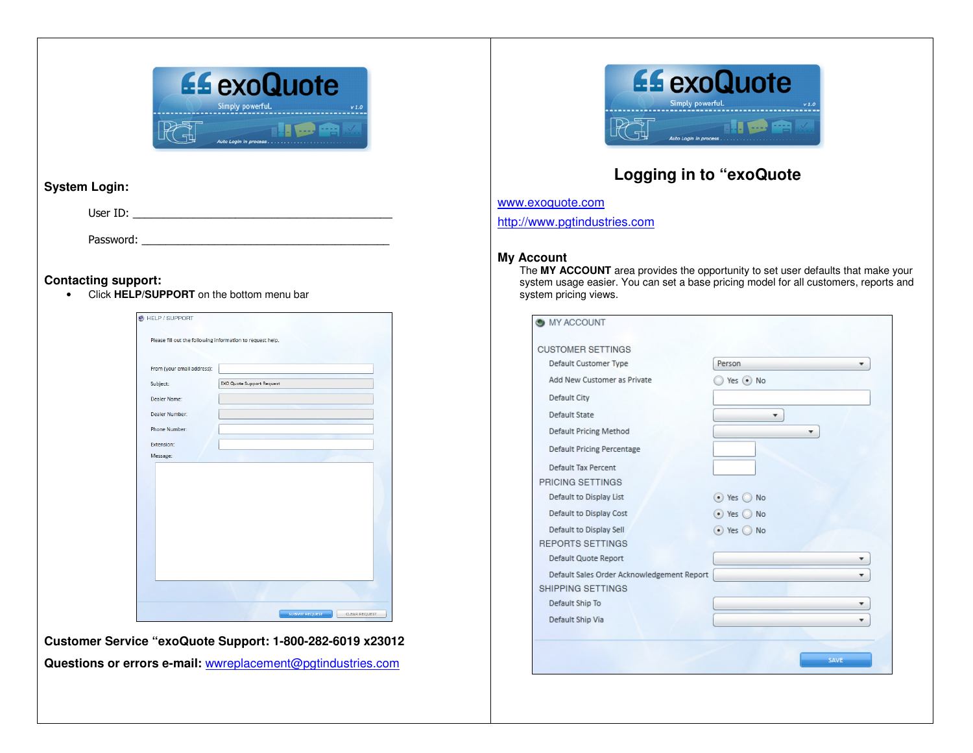

# **System Login:**

User ID: \_\_\_\_\_\_\_\_\_\_\_\_\_\_\_\_\_\_\_\_\_\_\_\_\_\_\_\_\_\_\_\_\_\_\_\_\_\_\_\_\_\_\_

Password:

## **Contacting support:**

• Click **HELP/SUPPORT** on the bottom menu bar

| From (your email address): |                                  |  |
|----------------------------|----------------------------------|--|
|                            |                                  |  |
| Subject:                   | <b>EXO Quote Support Request</b> |  |
| Dealer Name:               |                                  |  |
| Dealer Number:             |                                  |  |
| Phone Number:              |                                  |  |
| Extension:                 |                                  |  |
| Message:                   |                                  |  |
|                            |                                  |  |
|                            |                                  |  |
|                            |                                  |  |
|                            |                                  |  |
|                            |                                  |  |
|                            |                                  |  |
|                            |                                  |  |
|                            |                                  |  |
|                            |                                  |  |
|                            |                                  |  |

**Customer Service "exoQuote Support: 1-800-282-6019 x23012 Questions or errors e-mail:** wwreplacement@pgtindustries.com



# **Logging in to "exoQuote**

www.exoquote.com

http://www.pgtindustries.com

#### **My Account**

 The **MY ACCOUNT** area provides the opportunity to set user defaults that make your system usage easier. You can set a base pricing model for all customers, reports and system pricing views.

| <b>MY ACCOUNT</b>                          |                     |
|--------------------------------------------|---------------------|
| <b>CUSTOMER SETTINGS</b>                   |                     |
| Default Customer Type                      | Person              |
| Add New Customer as Private                | Yes ONo             |
| <b>Default City</b>                        |                     |
| <b>Default State</b>                       |                     |
| <b>Default Pricing Method</b>              | ٠                   |
| <b>Default Pricing Percentage</b>          |                     |
| <b>Default Tax Percent</b>                 |                     |
| PRICING SETTINGS                           |                     |
| Default to Display List                    | $\odot$ Yes (<br>No |
| Default to Display Cost                    | $\bullet$ Yes<br>No |
| Default to Display Sell                    | ⊙ Yes ◎ No          |
| <b>REPORTS SETTINGS</b>                    |                     |
| Default Quote Report                       |                     |
| Default Sales Order Acknowledgement Report |                     |
| SHIPPING SETTINGS                          |                     |
| Default Ship To                            | ▼                   |
| Default Ship Via                           |                     |
|                                            |                     |
|                                            | <b>SAVE</b>         |